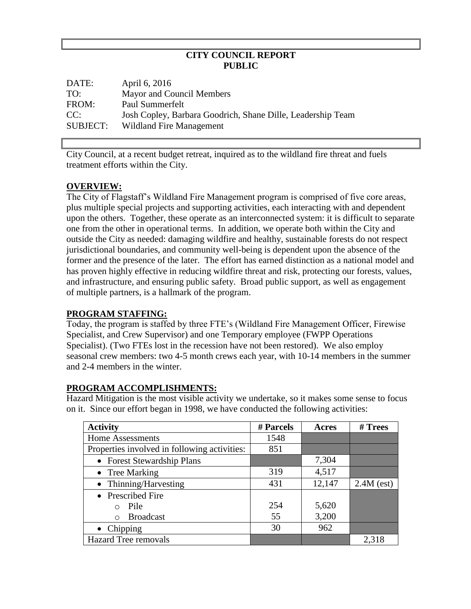### **CITY COUNCIL REPORT PUBLIC**

| DATE:    | April 6, 2016                                               |
|----------|-------------------------------------------------------------|
| TO:      | Mayor and Council Members                                   |
| FROM:    | Paul Summerfelt                                             |
| CC:      | Josh Copley, Barbara Goodrich, Shane Dille, Leadership Team |
| SUBJECT: | Wildland Fire Management                                    |

City Council, at a recent budget retreat, inquired as to the wildland fire threat and fuels treatment efforts within the City.

## **OVERVIEW:**

The City of Flagstaff's Wildland Fire Management program is comprised of five core areas, plus multiple special projects and supporting activities, each interacting with and dependent upon the others. Together, these operate as an interconnected system: it is difficult to separate one from the other in operational terms. In addition, we operate both within the City and outside the City as needed: damaging wildfire and healthy, sustainable forests do not respect jurisdictional boundaries, and community well-being is dependent upon the absence of the former and the presence of the later. The effort has earned distinction as a national model and has proven highly effective in reducing wildfire threat and risk, protecting our forests, values, and infrastructure, and ensuring public safety. Broad public support, as well as engagement of multiple partners, is a hallmark of the program.

### **PROGRAM STAFFING:**

Today, the program is staffed by three FTE's (Wildland Fire Management Officer, Firewise Specialist, and Crew Supervisor) and one Temporary employee (FWPP Operations Specialist). (Two FTEs lost in the recession have not been restored). We also employ seasonal crew members: two 4-5 month crews each year, with 10-14 members in the summer and 2-4 members in the winter.

### **PROGRAM ACCOMPLISHMENTS:**

Hazard Mitigation is the most visible activity we undertake, so it makes some sense to focus on it. Since our effort began in 1998, we have conducted the following activities:

| <b>Activity</b>                              | # Parcels | Acres  | # Trees      |
|----------------------------------------------|-----------|--------|--------------|
| <b>Home Assessments</b>                      | 1548      |        |              |
| Properties involved in following activities: | 851       |        |              |
| • Forest Stewardship Plans                   |           | 7,304  |              |
| $\bullet$ Tree Marking                       | 319       | 4,517  |              |
| • Thinning/Harvesting                        | 431       | 12,147 | $2.4M$ (est) |
| • Prescribed Fire                            |           |        |              |
| Pile<br>$\cap$                               | 254       | 5,620  |              |
| <b>Broadcast</b><br>∩                        | 55        | 3,200  |              |
| $\bullet$ Chipping                           | 30        | 962    |              |
| <b>Hazard Tree removals</b>                  |           |        | 2,318        |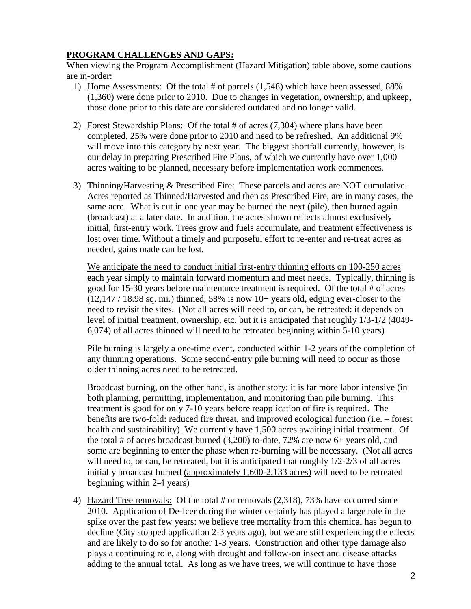# **PROGRAM CHALLENGES AND GAPS:**

When viewing the Program Accomplishment (Hazard Mitigation) table above, some cautions are in-order:

- 1) Home Assessments: Of the total # of parcels (1,548) which have been assessed, 88% (1,360) were done prior to 2010. Due to changes in vegetation, ownership, and upkeep, those done prior to this date are considered outdated and no longer valid.
- 2) Forest Stewardship Plans: Of the total # of acres (7,304) where plans have been completed, 25% were done prior to 2010 and need to be refreshed. An additional 9% will move into this category by next year. The biggest shortfall currently, however, is our delay in preparing Prescribed Fire Plans, of which we currently have over 1,000 acres waiting to be planned, necessary before implementation work commences.
- 3) Thinning/Harvesting & Prescribed Fire: These parcels and acres are NOT cumulative. Acres reported as Thinned/Harvested and then as Prescribed Fire, are in many cases, the same acre. What is cut in one year may be burned the next (pile), then burned again (broadcast) at a later date. In addition, the acres shown reflects almost exclusively initial, first-entry work. Trees grow and fuels accumulate, and treatment effectiveness is lost over time. Without a timely and purposeful effort to re-enter and re-treat acres as needed, gains made can be lost.

We anticipate the need to conduct initial first-entry thinning efforts on 100-250 acres each year simply to maintain forward momentum and meet needs. Typically, thinning is good for 15-30 years before maintenance treatment is required. Of the total # of acres  $(12,147 / 18.98$  sq. mi.) thinned, 58% is now 10+ years old, edging ever-closer to the need to revisit the sites. (Not all acres will need to, or can, be retreated: it depends on level of initial treatment, ownership, etc. but it is anticipated that roughly 1/3-1/2 (4049- 6,074) of all acres thinned will need to be retreated beginning within 5-10 years)

Pile burning is largely a one-time event, conducted within 1-2 years of the completion of any thinning operations. Some second-entry pile burning will need to occur as those older thinning acres need to be retreated.

Broadcast burning, on the other hand, is another story: it is far more labor intensive (in both planning, permitting, implementation, and monitoring than pile burning. This treatment is good for only 7-10 years before reapplication of fire is required. The benefits are two-fold: reduced fire threat, and improved ecological function (i.e. – forest health and sustainability). We currently have 1,500 acres awaiting initial treatment. Of the total # of acres broadcast burned (3,200) to-date, 72% are now 6+ years old, and some are beginning to enter the phase when re-burning will be necessary. (Not all acres will need to, or can, be retreated, but it is anticipated that roughly  $1/2$ -2/3 of all acres initially broadcast burned (approximately 1,600-2,133 acres) will need to be retreated beginning within 2-4 years)

4) Hazard Tree removals: Of the total # or removals (2,318), 73% have occurred since 2010. Application of De-Icer during the winter certainly has played a large role in the spike over the past few years: we believe tree mortality from this chemical has begun to decline (City stopped application 2-3 years ago), but we are still experiencing the effects and are likely to do so for another 1-3 years. Construction and other type damage also plays a continuing role, along with drought and follow-on insect and disease attacks adding to the annual total. As long as we have trees, we will continue to have those